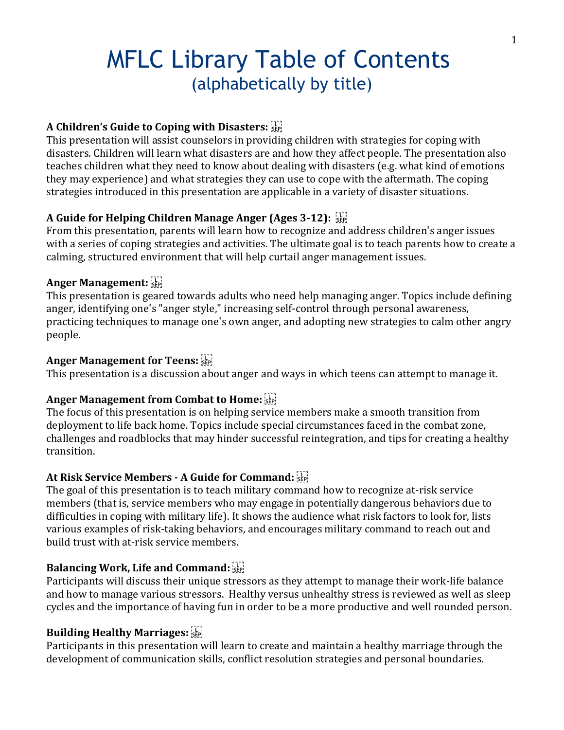# MFLC Library Table of Contents (alphabetically by title)

# **A Children's Guide to Coping with Disasters:**

This presentation will assist counselors in providing children with strategies for coping with disasters. Children will learn what disasters are and how they affect people. The presentation also teaches children what they need to know about dealing with disasters (e.g. what kind of emotions they may experience) and what strategies they can use to cope with the aftermath. The coping strategies introduced in this presentation are applicable in a variety of disaster situations.

## **A Guide for Helping Children Manage Anger (Ages 3-12):**

From this presentation, parents will learn how to recognize and address children's anger issues with a series of coping strategies and activities. The ultimate goal is to teach parents how to create a calming, structured environment that will help curtail anger management issues.

## **Anger Management:**

This presentation is geared towards adults who need help managing anger. Topics include defining anger, identifying one's "anger style," increasing self-control through personal awareness, practicing techniques to manage one's own anger, and adopting new strategies to calm other angry people.

## **Anger Management for Teens:**

This presentation is a discussion about anger and ways in which teens can attempt to manage it.

# **Anger Management from Combat to Home:**

The focus of this presentation is on helping service members make a smooth transition from deployment to life back home. Topics include special circumstances faced in the combat zone, challenges and roadblocks that may hinder successful reintegration, and tips for creating a healthy transition.

# **At Risk Service Members - A Guide for Command:**

The goal of this presentation is to teach military command how to recognize at-risk service members (that is, service members who may engage in potentially dangerous behaviors due to difficulties in coping with military life). It shows the audience what risk factors to look for, lists various examples of risk-taking behaviors, and encourages military command to reach out and build trust with at-risk service members.

# **Balancing Work, Life and Command:**

Participants will discuss their unique stressors as they attempt to manage their work-life balance and how to manage various stressors. Healthy versus unhealthy stress is reviewed as well as sleep cycles and the importance of having fun in order to be a more productive and well rounded person.

# **Building Healthy Marriages:**

Participants in this presentation will learn to create and maintain a healthy marriage through the development of communication skills, conflict resolution strategies and personal boundaries.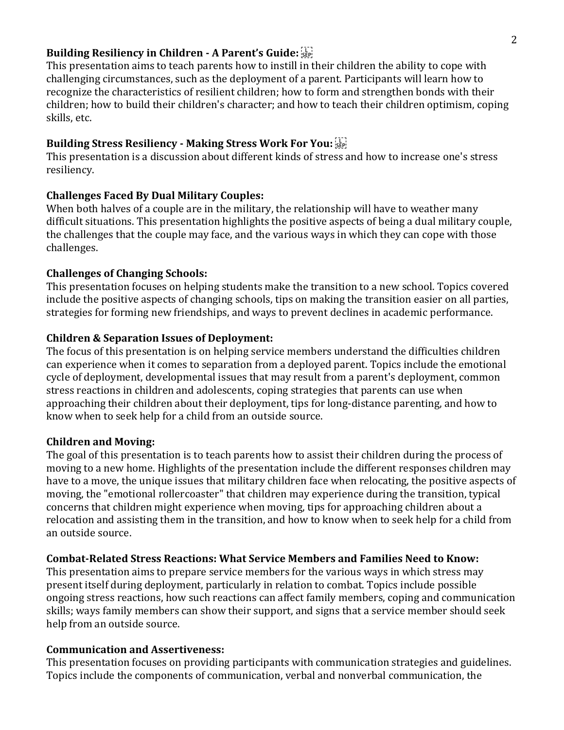## **Building Resiliency in Children - A Parent's Guide:**

This presentation aims to teach parents how to instill in their children the ability to cope with challenging circumstances, such as the deployment of a parent. Participants will learn how to recognize the characteristics of resilient children; how to form and strengthen bonds with their children; how to build their children's character; and how to teach their children optimism, coping skills, etc.

## **Building Stress Resiliency - Making Stress Work For You:**

This presentation is a discussion about different kinds of stress and how to increase one's stress resiliency.

## **Challenges Faced By Dual Military Couples:**

When both halves of a couple are in the military, the relationship will have to weather many difficult situations. This presentation highlights the positive aspects of being a dual military couple, the challenges that the couple may face, and the various ways in which they can cope with those challenges.

## **Challenges of Changing Schools:**

This presentation focuses on helping students make the transition to a new school. Topics covered include the positive aspects of changing schools, tips on making the transition easier on all parties, strategies for forming new friendships, and ways to prevent declines in academic performance.

## **Children & Separation Issues of Deployment:**

The focus of this presentation is on helping service members understand the difficulties children can experience when it comes to separation from a deployed parent. Topics include the emotional cycle of deployment, developmental issues that may result from a parent's deployment, common stress reactions in children and adolescents, coping strategies that parents can use when approaching their children about their deployment, tips for long-distance parenting, and how to know when to seek help for a child from an outside source.

## **Children and Moving:**

The goal of this presentation is to teach parents how to assist their children during the process of moving to a new home. Highlights of the presentation include the different responses children may have to a move, the unique issues that military children face when relocating, the positive aspects of moving, the "emotional rollercoaster" that children may experience during the transition, typical concerns that children might experience when moving, tips for approaching children about a relocation and assisting them in the transition, and how to know when to seek help for a child from an outside source.

## **Combat-Related Stress Reactions: What Service Members and Families Need to Know:**

This presentation aims to prepare service members for the various ways in which stress may present itself during deployment, particularly in relation to combat. Topics include possible ongoing stress reactions, how such reactions can affect family members, coping and communication skills; ways family members can show their support, and signs that a service member should seek help from an outside source.

## **Communication and Assertiveness:**

This presentation focuses on providing participants with communication strategies and guidelines. Topics include the components of communication, verbal and nonverbal communication, the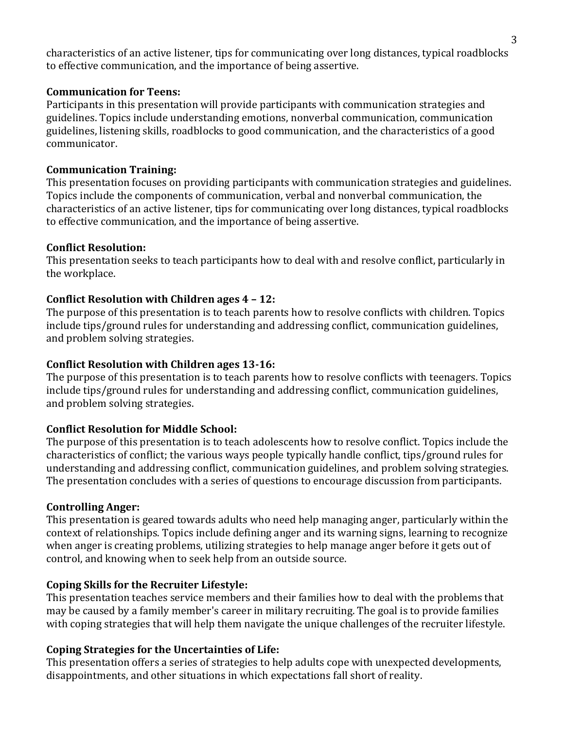characteristics of an active listener, tips for communicating over long distances, typical roadblocks to effective communication, and the importance of being assertive.

## **Communication for Teens:**

Participants in this presentation will provide participants with communication strategies and guidelines. Topics include understanding emotions, nonverbal communication, communication guidelines, listening skills, roadblocks to good communication, and the characteristics of a good communicator.

## **Communication Training:**

This presentation focuses on providing participants with communication strategies and guidelines. Topics include the components of communication, verbal and nonverbal communication, the characteristics of an active listener, tips for communicating over long distances, typical roadblocks to effective communication, and the importance of being assertive.

## **Conflict Resolution:**

This presentation seeks to teach participants how to deal with and resolve conflict, particularly in the workplace.

# **Conflict Resolution with Children ages 4 – 12:**

The purpose of this presentation is to teach parents how to resolve conflicts with children. Topics include tips/ground rules for understanding and addressing conflict, communication guidelines, and problem solving strategies.

## **Conflict Resolution with Children ages 13-16:**

The purpose of this presentation is to teach parents how to resolve conflicts with teenagers. Topics include tips/ground rules for understanding and addressing conflict, communication guidelines, and problem solving strategies.

# **Conflict Resolution for Middle School:**

The purpose of this presentation is to teach adolescents how to resolve conflict. Topics include the characteristics of conflict; the various ways people typically handle conflict, tips/ground rules for understanding and addressing conflict, communication guidelines, and problem solving strategies. The presentation concludes with a series of questions to encourage discussion from participants.

## **Controlling Anger:**

This presentation is geared towards adults who need help managing anger, particularly within the context of relationships. Topics include defining anger and its warning signs, learning to recognize when anger is creating problems, utilizing strategies to help manage anger before it gets out of control, and knowing when to seek help from an outside source.

# **Coping Skills for the Recruiter Lifestyle:**

This presentation teaches service members and their families how to deal with the problems that may be caused by a family member's career in military recruiting. The goal is to provide families with coping strategies that will help them navigate the unique challenges of the recruiter lifestyle.

# **Coping Strategies for the Uncertainties of Life:**

This presentation offers a series of strategies to help adults cope with unexpected developments, disappointments, and other situations in which expectations fall short of reality.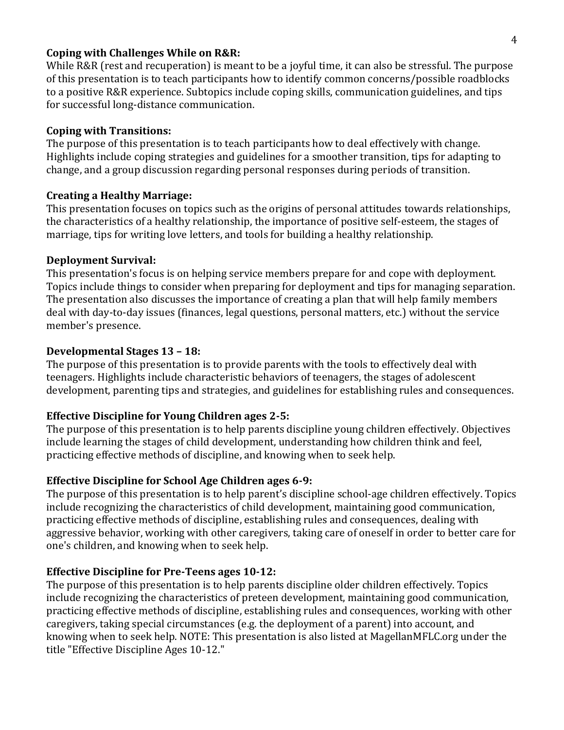#### **Coping with Challenges While on R&R:**

While R&R (rest and recuperation) is meant to be a joyful time, it can also be stressful. The purpose of this presentation is to teach participants how to identify common concerns/possible roadblocks to a positive R&R experience. Subtopics include coping skills, communication guidelines, and tips for successful long-distance communication.

## **Coping with Transitions:**

The purpose of this presentation is to teach participants how to deal effectively with change. Highlights include coping strategies and guidelines for a smoother transition, tips for adapting to change, and a group discussion regarding personal responses during periods of transition.

## **Creating a Healthy Marriage:**

This presentation focuses on topics such as the origins of personal attitudes towards relationships, the characteristics of a healthy relationship, the importance of positive self-esteem, the stages of marriage, tips for writing love letters, and tools for building a healthy relationship.

## **Deployment Survival:**

This presentation's focus is on helping service members prepare for and cope with deployment. Topics include things to consider when preparing for deployment and tips for managing separation. The presentation also discusses the importance of creating a plan that will help family members deal with day-to-day issues (finances, legal questions, personal matters, etc.) without the service member's presence.

## **Developmental Stages 13 – 18:**

The purpose of this presentation is to provide parents with the tools to effectively deal with teenagers. Highlights include characteristic behaviors of teenagers, the stages of adolescent development, parenting tips and strategies, and guidelines for establishing rules and consequences.

# **Effective Discipline for Young Children ages 2-5:**

The purpose of this presentation is to help parents discipline young children effectively. Objectives include learning the stages of child development, understanding how children think and feel, practicing effective methods of discipline, and knowing when to seek help.

# **Effective Discipline for School Age Children ages 6-9:**

The purpose of this presentation is to help parent's discipline school-age children effectively. Topics include recognizing the characteristics of child development, maintaining good communication, practicing effective methods of discipline, establishing rules and consequences, dealing with aggressive behavior, working with other caregivers, taking care of oneself in order to better care for one's children, and knowing when to seek help.

# **Effective Discipline for Pre-Teens ages 10-12:**

The purpose of this presentation is to help parents discipline older children effectively. Topics include recognizing the characteristics of preteen development, maintaining good communication, practicing effective methods of discipline, establishing rules and consequences, working with other caregivers, taking special circumstances (e.g. the deployment of a parent) into account, and knowing when to seek help. NOTE: This presentation is also listed at MagellanMFLC.org under the title "Effective Discipline Ages 10-12."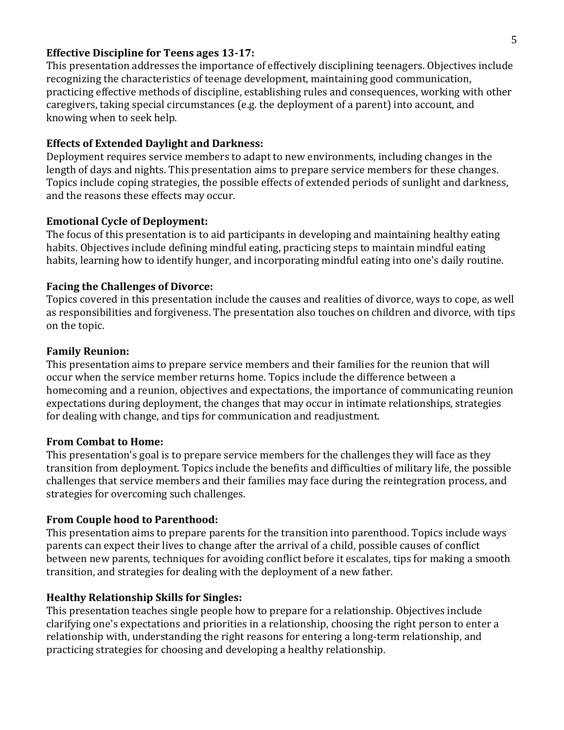#### **Effective Discipline for Teens ages 13-17:**

This presentation addresses the importance of effectively disciplining teenagers. Objectives include recognizing the characteristics of teenage development, maintaining good communication, practicing effective methods of discipline, establishing rules and consequences, working with other caregivers, taking special circumstances (e.g. the deployment of a parent) into account, and knowing when to seek help.

#### **Effects of Extended Daylight and Darkness:**

Deployment requires service members to adapt to new environments, including changes in the length of days and nights. This presentation aims to prepare service members for these changes. Topics include coping strategies, the possible effects of extended periods of sunlight and darkness, and the reasons these effects may occur.

## **Emotional Cycle of Deployment:**

The focus of this presentation is to aid participants in developing and maintaining healthy eating habits. Objectives include defining mindful eating, practicing steps to maintain mindful eating habits, learning how to identify hunger, and incorporating mindful eating into one's daily routine.

#### **Facing the Challenges of Divorce:**

Topics covered in this presentation include the causes and realities of divorce, ways to cope, as well as responsibilities and forgiveness. The presentation also touches on children and divorce, with tips on the topic.

#### **Family Reunion:**

This presentation aims to prepare service members and their families for the reunion that will occur when the service member returns home. Topics include the difference between a homecoming and a reunion, objectives and expectations, the importance of communicating reunion expectations during deployment, the changes that may occur in intimate relationships, strategies for dealing with change, and tips for communication and readjustment.

#### **From Combat to Home:**

This presentation's goal is to prepare service members for the challenges they will face as they transition from deployment. Topics include the benefits and difficulties of military life, the possible challenges that service members and their families may face during the reintegration process, and strategies for overcoming such challenges.

## **From Couple hood to Parenthood:**

This presentation aims to prepare parents for the transition into parenthood. Topics include ways parents can expect their lives to change after the arrival of a child, possible causes of conflict between new parents, techniques for avoiding conflict before it escalates, tips for making a smooth transition, and strategies for dealing with the deployment of a new father.

## **Healthy Relationship Skills for Singles:**

This presentation teaches single people how to prepare for a relationship. Objectives include clarifying one's expectations and priorities in a relationship, choosing the right person to enter a relationship with, understanding the right reasons for entering a long-term relationship, and practicing strategies for choosing and developing a healthy relationship.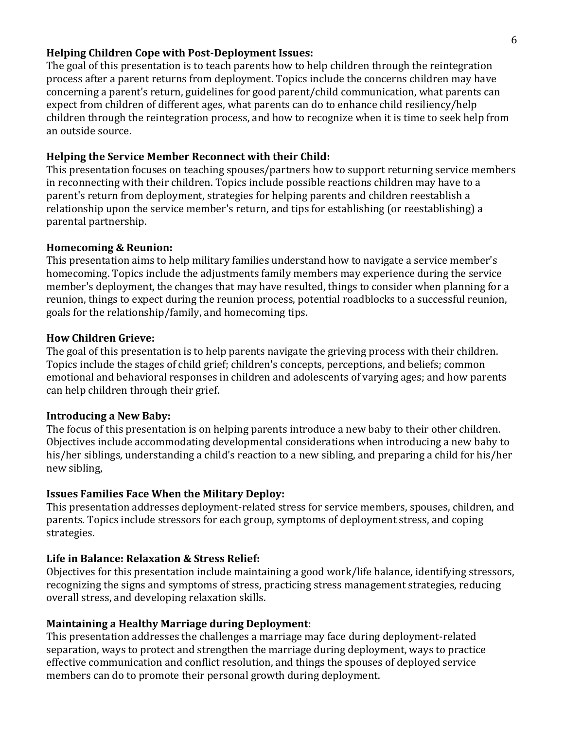#### **Helping Children Cope with Post-Deployment Issues:**

The goal of this presentation is to teach parents how to help children through the reintegration process after a parent returns from deployment. Topics include the concerns children may have concerning a parent's return, guidelines for good parent/child communication, what parents can expect from children of different ages, what parents can do to enhance child resiliency/help children through the reintegration process, and how to recognize when it is time to seek help from an outside source.

## **Helping the Service Member Reconnect with their Child:**

This presentation focuses on teaching spouses/partners how to support returning service members in reconnecting with their children. Topics include possible reactions children may have to a parent's return from deployment, strategies for helping parents and children reestablish a relationship upon the service member's return, and tips for establishing (or reestablishing) a parental partnership.

## **Homecoming & Reunion:**

This presentation aims to help military families understand how to navigate a service member's homecoming. Topics include the adjustments family members may experience during the service member's deployment, the changes that may have resulted, things to consider when planning for a reunion, things to expect during the reunion process, potential roadblocks to a successful reunion, goals for the relationship/family, and homecoming tips.

## **How Children Grieve:**

The goal of this presentation is to help parents navigate the grieving process with their children. Topics include the stages of child grief; children's concepts, perceptions, and beliefs; common emotional and behavioral responses in children and adolescents of varying ages; and how parents can help children through their grief.

# **Introducing a New Baby:**

The focus of this presentation is on helping parents introduce a new baby to their other children. Objectives include accommodating developmental considerations when introducing a new baby to his/her siblings, understanding a child's reaction to a new sibling, and preparing a child for his/her new sibling,

# **Issues Families Face When the Military Deploy:**

This presentation addresses deployment-related stress for service members, spouses, children, and parents. Topics include stressors for each group, symptoms of deployment stress, and coping strategies.

# **Life in Balance: Relaxation & Stress Relief:**

Objectives for this presentation include maintaining a good work/life balance, identifying stressors, recognizing the signs and symptoms of stress, practicing stress management strategies, reducing overall stress, and developing relaxation skills.

# **Maintaining a Healthy Marriage during Deployment**:

This presentation addresses the challenges a marriage may face during deployment-related separation, ways to protect and strengthen the marriage during deployment, ways to practice effective communication and conflict resolution, and things the spouses of deployed service members can do to promote their personal growth during deployment.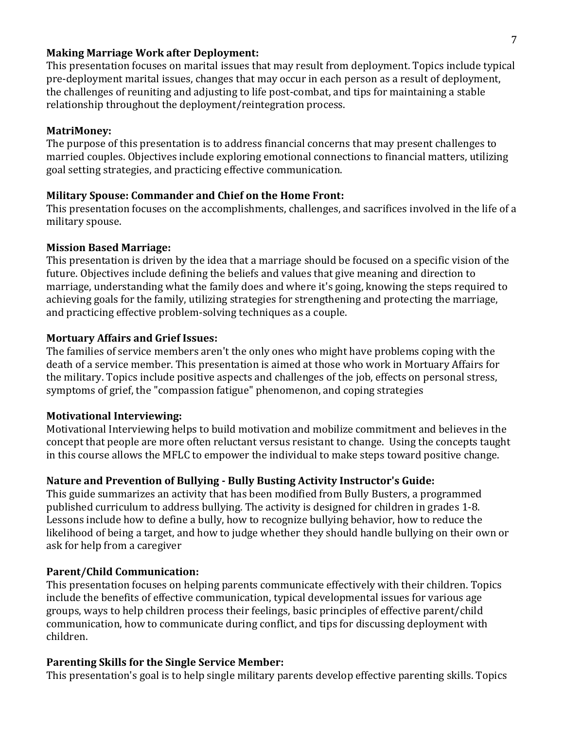#### **Making Marriage Work after Deployment:**

This presentation focuses on marital issues that may result from deployment. Topics include typical pre-deployment marital issues, changes that may occur in each person as a result of deployment, the challenges of reuniting and adjusting to life post-combat, and tips for maintaining a stable relationship throughout the deployment/reintegration process.

#### **MatriMoney:**

The purpose of this presentation is to address financial concerns that may present challenges to married couples. Objectives include exploring emotional connections to financial matters, utilizing goal setting strategies, and practicing effective communication.

## **Military Spouse: Commander and Chief on the Home Front:**

This presentation focuses on the accomplishments, challenges, and sacrifices involved in the life of a military spouse.

#### **Mission Based Marriage:**

This presentation is driven by the idea that a marriage should be focused on a specific vision of the future. Objectives include defining the beliefs and values that give meaning and direction to marriage, understanding what the family does and where it's going, knowing the steps required to achieving goals for the family, utilizing strategies for strengthening and protecting the marriage, and practicing effective problem-solving techniques as a couple.

#### **Mortuary Affairs and Grief Issues:**

The families of service members aren't the only ones who might have problems coping with the death of a service member. This presentation is aimed at those who work in Mortuary Affairs for the military. Topics include positive aspects and challenges of the job, effects on personal stress, symptoms of grief, the "compassion fatigue" phenomenon, and coping strategies

## **Motivational Interviewing:**

Motivational Interviewing helps to build motivation and mobilize commitment and believes in the concept that people are more often reluctant versus resistant to change. Using the concepts taught in this course allows the MFLC to empower the individual to make steps toward positive change.

## **Nature and Prevention of Bullying - Bully Busting Activity Instructor's Guide:**

This guide summarizes an activity that has been modified from Bully Busters, a programmed published curriculum to address bullying. The activity is designed for children in grades 1-8. Lessons include how to define a bully, how to recognize bullying behavior, how to reduce the likelihood of being a target, and how to judge whether they should handle bullying on their own or ask for help from a caregiver

#### **Parent/Child Communication:**

This presentation focuses on helping parents communicate effectively with their children. Topics include the benefits of effective communication, typical developmental issues for various age groups, ways to help children process their feelings, basic principles of effective parent/child communication, how to communicate during conflict, and tips for discussing deployment with children.

#### **Parenting Skills for the Single Service Member:**

This presentation's goal is to help single military parents develop effective parenting skills. Topics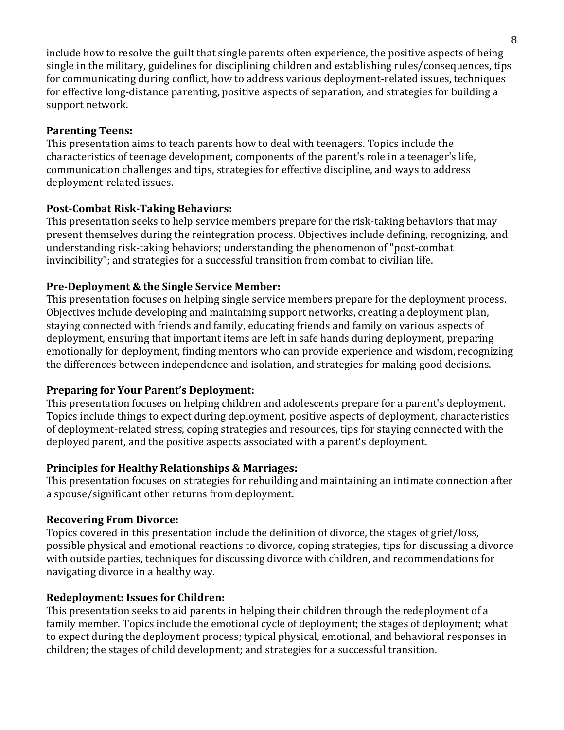include how to resolve the guilt that single parents often experience, the positive aspects of being single in the military, guidelines for disciplining children and establishing rules/consequences, tips for communicating during conflict, how to address various deployment-related issues, techniques for effective long-distance parenting, positive aspects of separation, and strategies for building a support network.

# **Parenting Teens:**

This presentation aims to teach parents how to deal with teenagers. Topics include the characteristics of teenage development, components of the parent's role in a teenager's life, communication challenges and tips, strategies for effective discipline, and ways to address deployment-related issues.

# **Post-Combat Risk-Taking Behaviors:**

This presentation seeks to help service members prepare for the risk-taking behaviors that may present themselves during the reintegration process. Objectives include defining, recognizing, and understanding risk-taking behaviors; understanding the phenomenon of "post-combat invincibility"; and strategies for a successful transition from combat to civilian life.

# **Pre-Deployment & the Single Service Member:**

This presentation focuses on helping single service members prepare for the deployment process. Objectives include developing and maintaining support networks, creating a deployment plan, staying connected with friends and family, educating friends and family on various aspects of deployment, ensuring that important items are left in safe hands during deployment, preparing emotionally for deployment, finding mentors who can provide experience and wisdom, recognizing the differences between independence and isolation, and strategies for making good decisions.

# **Preparing for Your Parent's Deployment:**

This presentation focuses on helping children and adolescents prepare for a parent's deployment. Topics include things to expect during deployment, positive aspects of deployment, characteristics of deployment-related stress, coping strategies and resources, tips for staying connected with the deployed parent, and the positive aspects associated with a parent's deployment.

## **Principles for Healthy Relationships & Marriages:**

This presentation focuses on strategies for rebuilding and maintaining an intimate connection after a spouse/significant other returns from deployment.

## **Recovering From Divorce:**

Topics covered in this presentation include the definition of divorce, the stages of grief/loss, possible physical and emotional reactions to divorce, coping strategies, tips for discussing a divorce with outside parties, techniques for discussing divorce with children, and recommendations for navigating divorce in a healthy way.

## **Redeployment: Issues for Children:**

This presentation seeks to aid parents in helping their children through the redeployment of a family member. Topics include the emotional cycle of deployment; the stages of deployment; what to expect during the deployment process; typical physical, emotional, and behavioral responses in children; the stages of child development; and strategies for a successful transition.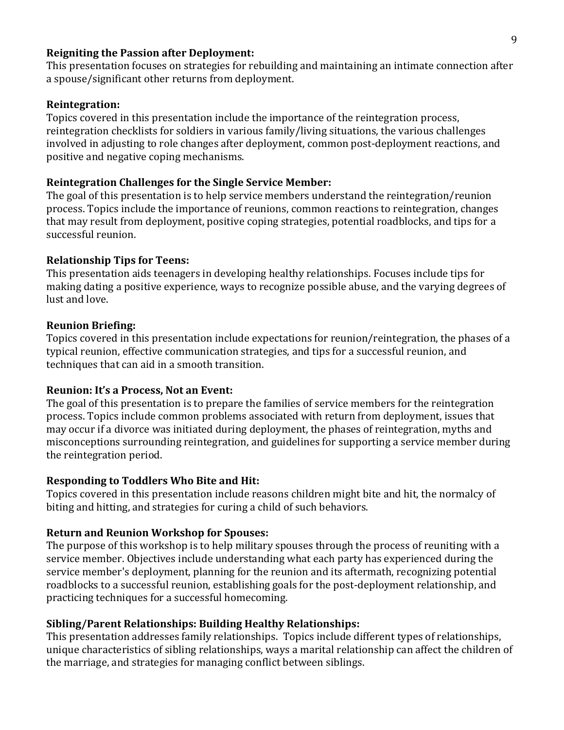## **Reigniting the Passion after Deployment:**

This presentation focuses on strategies for rebuilding and maintaining an intimate connection after a spouse/significant other returns from deployment.

#### **Reintegration:**

Topics covered in this presentation include the importance of the reintegration process, reintegration checklists for soldiers in various family/living situations, the various challenges involved in adjusting to role changes after deployment, common post-deployment reactions, and positive and negative coping mechanisms.

#### **Reintegration Challenges for the Single Service Member:**

The goal of this presentation is to help service members understand the reintegration/reunion process. Topics include the importance of reunions, common reactions to reintegration, changes that may result from deployment, positive coping strategies, potential roadblocks, and tips for a successful reunion.

#### **Relationship Tips for Teens:**

This presentation aids teenagers in developing healthy relationships. Focuses include tips for making dating a positive experience, ways to recognize possible abuse, and the varying degrees of lust and love.

#### **Reunion Briefing:**

Topics covered in this presentation include expectations for reunion/reintegration, the phases of a typical reunion, effective communication strategies, and tips for a successful reunion, and techniques that can aid in a smooth transition.

#### **Reunion: It's a Process, Not an Event:**

The goal of this presentation is to prepare the families of service members for the reintegration process. Topics include common problems associated with return from deployment, issues that may occur if a divorce was initiated during deployment, the phases of reintegration, myths and misconceptions surrounding reintegration, and guidelines for supporting a service member during the reintegration period.

#### **Responding to Toddlers Who Bite and Hit:**

Topics covered in this presentation include reasons children might bite and hit, the normalcy of biting and hitting, and strategies for curing a child of such behaviors.

#### **Return and Reunion Workshop for Spouses:**

The purpose of this workshop is to help military spouses through the process of reuniting with a service member. Objectives include understanding what each party has experienced during the service member's deployment, planning for the reunion and its aftermath, recognizing potential roadblocks to a successful reunion, establishing goals for the post-deployment relationship, and practicing techniques for a successful homecoming.

#### **Sibling/Parent Relationships: Building Healthy Relationships:**

This presentation addresses family relationships. Topics include different types of relationships, unique characteristics of sibling relationships, ways a marital relationship can affect the children of the marriage, and strategies for managing conflict between siblings.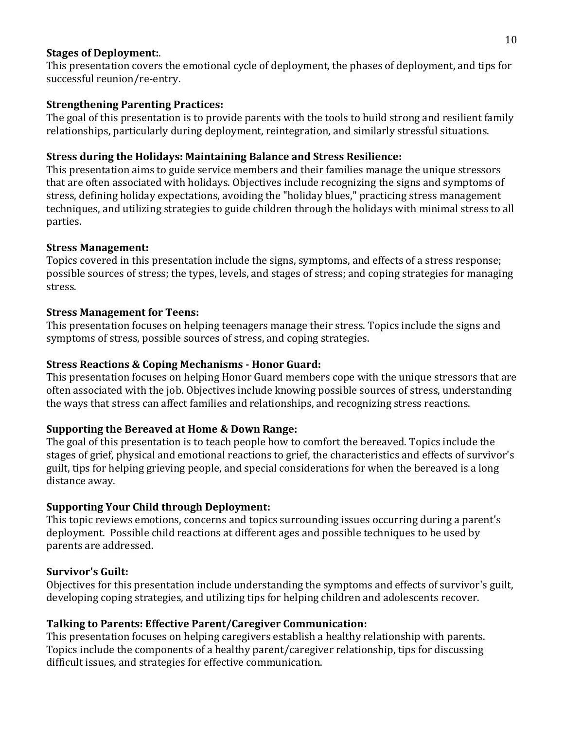## **Stages of Deployment:**.

This presentation covers the emotional cycle of deployment, the phases of deployment, and tips for successful reunion/re-entry.

# **Strengthening Parenting Practices:**

The goal of this presentation is to provide parents with the tools to build strong and resilient family relationships, particularly during deployment, reintegration, and similarly stressful situations.

## **Stress during the Holidays: Maintaining Balance and Stress Resilience:**

This presentation aims to guide service members and their families manage the unique stressors that are often associated with holidays. Objectives include recognizing the signs and symptoms of stress, defining holiday expectations, avoiding the "holiday blues," practicing stress management techniques, and utilizing strategies to guide children through the holidays with minimal stress to all parties.

## **Stress Management:**

Topics covered in this presentation include the signs, symptoms, and effects of a stress response; possible sources of stress; the types, levels, and stages of stress; and coping strategies for managing stress.

## **Stress Management for Teens:**

This presentation focuses on helping teenagers manage their stress. Topics include the signs and symptoms of stress, possible sources of stress, and coping strategies.

## **Stress Reactions & Coping Mechanisms - Honor Guard:**

This presentation focuses on helping Honor Guard members cope with the unique stressors that are often associated with the job. Objectives include knowing possible sources of stress, understanding the ways that stress can affect families and relationships, and recognizing stress reactions.

# **Supporting the Bereaved at Home & Down Range:**

The goal of this presentation is to teach people how to comfort the bereaved. Topics include the stages of grief, physical and emotional reactions to grief, the characteristics and effects of survivor's guilt, tips for helping grieving people, and special considerations for when the bereaved is a long distance away.

# **Supporting Your Child through Deployment:**

This topic reviews emotions, concerns and topics surrounding issues occurring during a parent's deployment. Possible child reactions at different ages and possible techniques to be used by parents are addressed.

## **Survivor's Guilt:**

Objectives for this presentation include understanding the symptoms and effects of survivor's guilt, developing coping strategies, and utilizing tips for helping children and adolescents recover.

# **Talking to Parents: Effective Parent/Caregiver Communication:**

This presentation focuses on helping caregivers establish a healthy relationship with parents. Topics include the components of a healthy parent/caregiver relationship, tips for discussing difficult issues, and strategies for effective communication.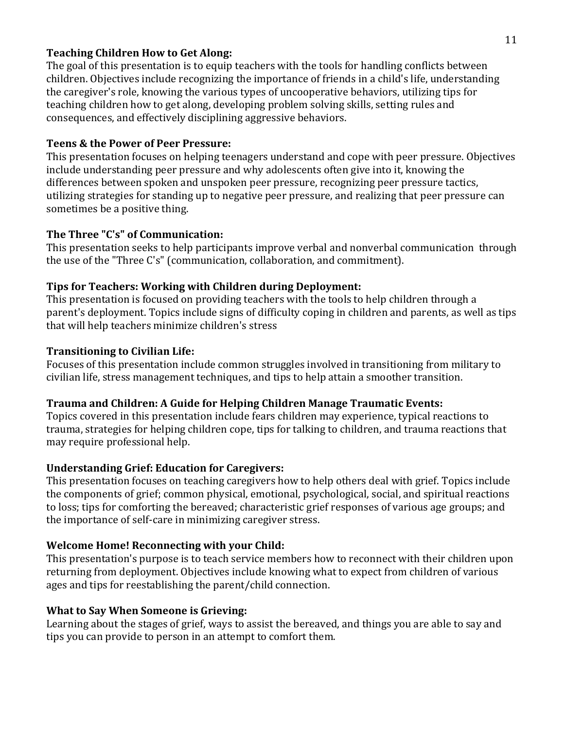## **Teaching Children How to Get Along:**

The goal of this presentation is to equip teachers with the tools for handling conflicts between children. Objectives include recognizing the importance of friends in a child's life, understanding the caregiver's role, knowing the various types of uncooperative behaviors, utilizing tips for teaching children how to get along, developing problem solving skills, setting rules and consequences, and effectively disciplining aggressive behaviors.

## **Teens & the Power of Peer Pressure:**

This presentation focuses on helping teenagers understand and cope with peer pressure. Objectives include understanding peer pressure and why adolescents often give into it, knowing the differences between spoken and unspoken peer pressure, recognizing peer pressure tactics, utilizing strategies for standing up to negative peer pressure, and realizing that peer pressure can sometimes be a positive thing.

## **The Three "C's" of Communication:**

This presentation seeks to help participants improve verbal and nonverbal communication through the use of the "Three C's" (communication, collaboration, and commitment).

## **Tips for Teachers: Working with Children during Deployment:**

This presentation is focused on providing teachers with the tools to help children through a parent's deployment. Topics include signs of difficulty coping in children and parents, as well as tips that will help teachers minimize children's stress

## **Transitioning to Civilian Life:**

Focuses of this presentation include common struggles involved in transitioning from military to civilian life, stress management techniques, and tips to help attain a smoother transition.

# **Trauma and Children: A Guide for Helping Children Manage Traumatic Events:**

Topics covered in this presentation include fears children may experience, typical reactions to trauma, strategies for helping children cope, tips for talking to children, and trauma reactions that may require professional help.

# **Understanding Grief: Education for Caregivers:**

This presentation focuses on teaching caregivers how to help others deal with grief. Topics include the components of grief; common physical, emotional, psychological, social, and spiritual reactions to loss; tips for comforting the bereaved; characteristic grief responses of various age groups; and the importance of self-care in minimizing caregiver stress.

# **Welcome Home! Reconnecting with your Child:**

This presentation's purpose is to teach service members how to reconnect with their children upon returning from deployment. Objectives include knowing what to expect from children of various ages and tips for reestablishing the parent/child connection.

# **What to Say When Someone is Grieving:**

Learning about the stages of grief, ways to assist the bereaved, and things you are able to say and tips you can provide to person in an attempt to comfort them.